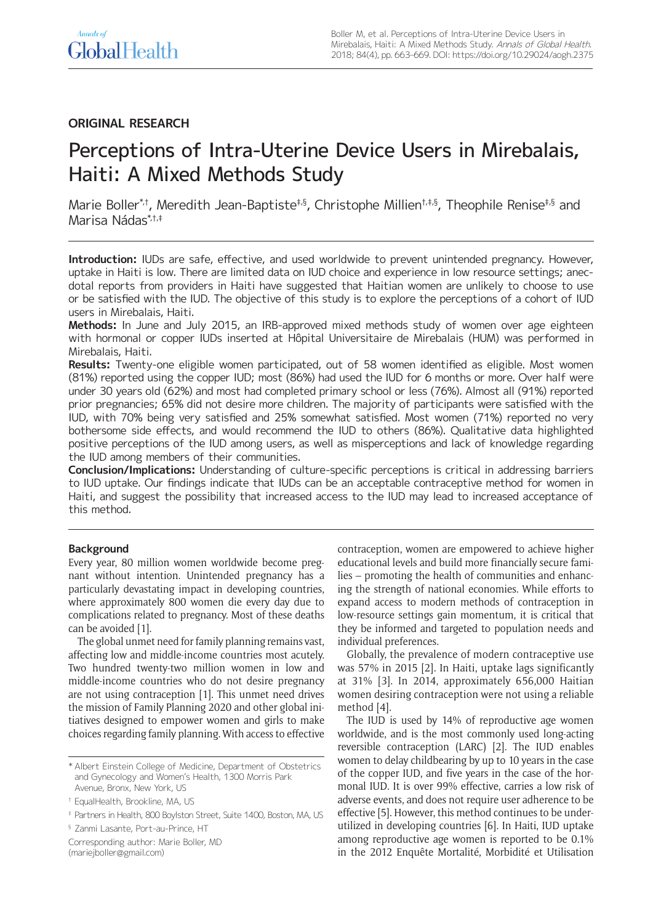# **ORIGINAL RESEARCH**

# Perceptions of Intra-Uterine Device Users in Mirebalais, Haiti: A Mixed Methods Study

Marie Boller\*,†, Meredith Jean-Baptiste<sup>‡,§</sup>, Christophe Millien<sup>†,‡,§</sup>, Theophile Renise<sup>‡,§</sup> and Marisa Nádas\*,†,‡

**Introduction:** IUDs are safe, effective, and used worldwide to prevent unintended pregnancy. However, uptake in Haiti is low. There are limited data on IUD choice and experience in low resource settings; anecdotal reports from providers in Haiti have suggested that Haitian women are unlikely to choose to use or be satisfied with the IUD. The objective of this study is to explore the perceptions of a cohort of IUD users in Mirebalais, Haiti.

**Methods:** In June and July 2015, an IRB-approved mixed methods study of women over age eighteen with hormonal or copper IUDs inserted at Hôpital Universitaire de Mirebalais (HUM) was performed in Mirebalais, Haiti.

**Results:** Twenty-one eligible women participated, out of 58 women identified as eligible. Most women (81%) reported using the copper IUD; most (86%) had used the IUD for 6 months or more. Over half were under 30 years old (62%) and most had completed primary school or less (76%). Almost all (91%) reported prior pregnancies; 65% did not desire more children. The majority of participants were satisfied with the IUD, with 70% being very satisfied and 25% somewhat satisfied. Most women (71%) reported no very bothersome side effects, and would recommend the IUD to others (86%). Qualitative data highlighted positive perceptions of the IUD among users, as well as misperceptions and lack of knowledge regarding the IUD among members of their communities.

**Conclusion/Implications:** Understanding of culture-specific perceptions is critical in addressing barriers to IUD uptake. Our findings indicate that IUDs can be an acceptable contraceptive method for women in Haiti, and suggest the possibility that increased access to the IUD may lead to increased acceptance of this method.

# **Background**

Every year, 80 million women worldwide become pregnant without intention. Unintended pregnancy has a particularly devastating impact in developing countries, where approximately 800 women die every day due to complications related to pregnancy. Most of these deaths can be avoided [1].

The global unmet need for family planning remains vast, affecting low and middle-income countries most acutely. Two hundred twenty-two million women in low and middle-income countries who do not desire pregnancy are not using contraception [1]. This unmet need drives the mission of Family Planning 2020 and other global initiatives designed to empower women and girls to make choices regarding family planning. With access to effective

§ Zanmi Lasante, Port-au-Prince, HT

Corresponding author: Marie Boller, MD [\(mariejboller@gmail.com\)](mailto:mariejboller@gmail.com)

contraception, women are empowered to achieve higher educational levels and build more financially secure families – promoting the health of communities and enhancing the strength of national economies. While efforts to expand access to modern methods of contraception in low-resource settings gain momentum, it is critical that they be informed and targeted to population needs and individual preferences.

Globally, the prevalence of modern contraceptive use was 57% in 2015 [2]. In Haiti, uptake lags significantly at 31% [3]. In 2014, approximately 656,000 Haitian women desiring contraception were not using a reliable method [4].

The IUD is used by 14% of reproductive age women worldwide, and is the most commonly used long-acting reversible contraception (LARC) [2]. The IUD enables women to delay childbearing by up to 10 years in the case of the copper IUD, and five years in the case of the hormonal IUD. It is over 99% effective, carries a low risk of adverse events, and does not require user adherence to be effective [5]. However, this method continues to be underutilized in developing countries [6]. In Haiti, IUD uptake among reproductive age women is reported to be 0.1% in the 2012 Enquête Mortalité, Morbidité et Utilisation

<sup>\*</sup> Albert Einstein College of Medicine, Department of Obstetrics and Gynecology and Women's Health, 1300 Morris Park Avenue, Bronx, New York, US

<sup>†</sup> EqualHealth, Brookline, MA, US

<sup>‡</sup> Partners in Health, 800 Boylston Street, Suite 1400, Boston, MA, US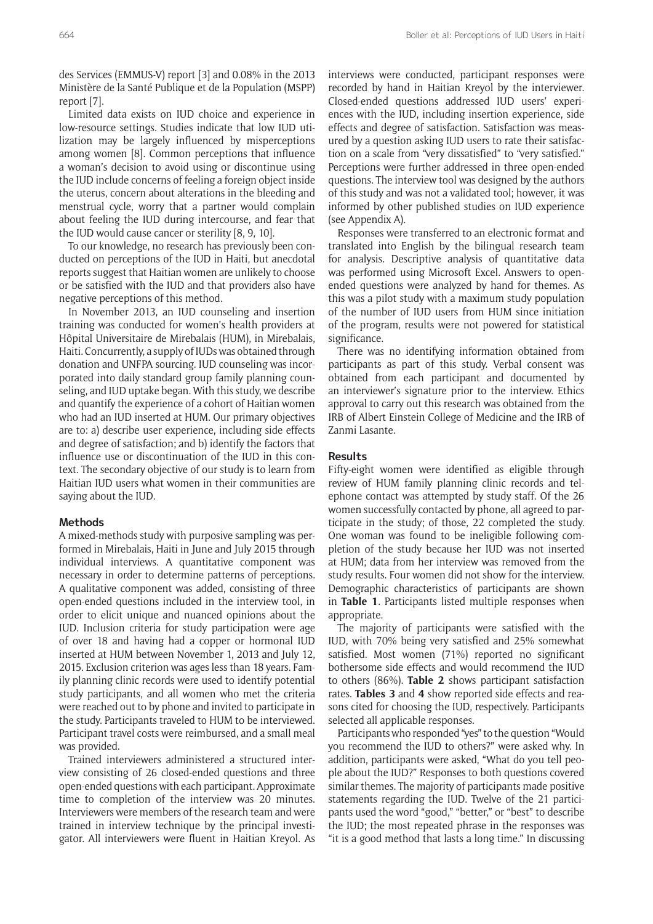des Services (EMMUS-V) report [3] and 0.08% in the 2013 Ministère de la Santé Publique et de la Population (MSPP) report [7].

Limited data exists on IUD choice and experience in low-resource settings. Studies indicate that low IUD utilization may be largely influenced by misperceptions among women [8]. Common perceptions that influence a woman's decision to avoid using or discontinue using the IUD include concerns of feeling a foreign object inside the uterus, concern about alterations in the bleeding and menstrual cycle, worry that a partner would complain about feeling the IUD during intercourse, and fear that the IUD would cause cancer or sterility [8, 9, 10].

To our knowledge, no research has previously been conducted on perceptions of the IUD in Haiti, but anecdotal reports suggest that Haitian women are unlikely to choose or be satisfied with the IUD and that providers also have negative perceptions of this method.

In November 2013, an IUD counseling and insertion training was conducted for women's health providers at Hôpital Universitaire de Mirebalais (HUM), in Mirebalais, Haiti. Concurrently, a supply of IUDs was obtained through donation and UNFPA sourcing. IUD counseling was incorporated into daily standard group family planning counseling, and IUD uptake began. With this study, we describe and quantify the experience of a cohort of Haitian women who had an IUD inserted at HUM. Our primary objectives are to: a) describe user experience, including side effects and degree of satisfaction; and b) identify the factors that influence use or discontinuation of the IUD in this context. The secondary objective of our study is to learn from Haitian IUD users what women in their communities are saying about the IUD.

#### **Methods**

A mixed-methods study with purposive sampling was performed in Mirebalais, Haiti in June and July 2015 through individual interviews. A quantitative component was necessary in order to determine patterns of perceptions. A qualitative component was added, consisting of three open-ended questions included in the interview tool, in order to elicit unique and nuanced opinions about the IUD. Inclusion criteria for study participation were age of over 18 and having had a copper or hormonal IUD inserted at HUM between November 1, 2013 and July 12, 2015. Exclusion criterion was ages less than 18 years. Family planning clinic records were used to identify potential study participants, and all women who met the criteria were reached out to by phone and invited to participate in the study. Participants traveled to HUM to be interviewed. Participant travel costs were reimbursed, and a small meal was provided.

Trained interviewers administered a structured interview consisting of 26 closed-ended questions and three open-ended questions with each participant. Approximate time to completion of the interview was 20 minutes. Interviewers were members of the research team and were trained in interview technique by the principal investigator. All interviewers were fluent in Haitian Kreyol. As

interviews were conducted, participant responses were recorded by hand in Haitian Kreyol by the interviewer. Closed-ended questions addressed IUD users' experiences with the IUD, including insertion experience, side effects and degree of satisfaction. Satisfaction was measured by a question asking IUD users to rate their satisfaction on a scale from "very dissatisfied" to "very satisfied." Perceptions were further addressed in three open-ended questions. The interview tool was designed by the authors of this study and was not a validated tool; however, it was informed by other published studies on IUD experience (see Appendix A).

Responses were transferred to an electronic format and translated into English by the bilingual research team for analysis. Descriptive analysis of quantitative data was performed using Microsoft Excel. Answers to openended questions were analyzed by hand for themes. As this was a pilot study with a maximum study population of the number of IUD users from HUM since initiation of the program, results were not powered for statistical significance.

There was no identifying information obtained from participants as part of this study. Verbal consent was obtained from each participant and documented by an interviewer's signature prior to the interview. Ethics approval to carry out this research was obtained from the IRB of Albert Einstein College of Medicine and the IRB of Zanmi Lasante.

# **Results**

Fifty-eight women were identified as eligible through review of HUM family planning clinic records and telephone contact was attempted by study staff. Of the 26 women successfully contacted by phone, all agreed to participate in the study; of those, 22 completed the study. One woman was found to be ineligible following completion of the study because her IUD was not inserted at HUM; data from her interview was removed from the study results. Four women did not show for the interview. Demographic characteristics of participants are shown in **Table 1**. Participants listed multiple responses when appropriate.

The majority of participants were satisfied with the IUD, with 70% being very satisfied and 25% somewhat satisfied. Most women (71%) reported no significant bothersome side effects and would recommend the IUD to others (86%). **Table 2** shows participant satisfaction rates. **Tables 3** and **4** show reported side effects and reasons cited for choosing the IUD, respectively. Participants selected all applicable responses.

Participants who responded "yes" to the question "Would you recommend the IUD to others?" were asked why. In addition, participants were asked, "What do you tell people about the IUD?" Responses to both questions covered similar themes. The majority of participants made positive statements regarding the IUD. Twelve of the 21 participants used the word "good," "better," or "best" to describe the IUD; the most repeated phrase in the responses was "it is a good method that lasts a long time." In discussing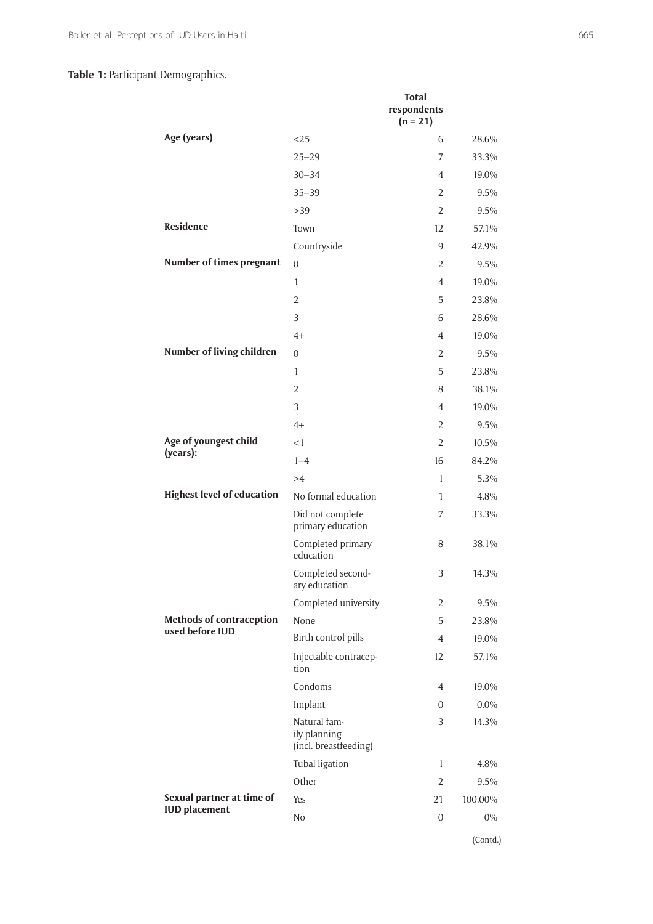# **Table 1:** Participant Demographics.

|                                   |                                                       | <b>Total</b><br>respondents<br>$(n = 21)$ |          |
|-----------------------------------|-------------------------------------------------------|-------------------------------------------|----------|
| Age (years)                       | $<$ 25                                                | 6                                         | 28.6%    |
|                                   | $25 - 29$                                             | 7                                         | 33.3%    |
|                                   | $30 - 34$                                             | 4                                         | 19.0%    |
|                                   | $35 - 39$                                             | 2                                         | 9.5%     |
|                                   | >39                                                   | $\overline{2}$                            | 9.5%     |
| Residence                         | Town                                                  | 12                                        | 57.1%    |
|                                   | Countryside                                           | 9                                         | 42.9%    |
| Number of times pregnant          | $\mathbf{0}$                                          | 2                                         | 9.5%     |
|                                   | 1                                                     | 4                                         | 19.0%    |
|                                   | 2                                                     | 5                                         | 23.8%    |
|                                   | 3                                                     | 6                                         | 28.6%    |
|                                   | $4+$                                                  | 4                                         | 19.0%    |
| Number of living children         | $\overline{0}$                                        | $\overline{2}$                            | 9.5%     |
|                                   | 1                                                     | 5                                         | 23.8%    |
|                                   | 2                                                     | 8                                         | 38.1%    |
|                                   | 3                                                     | 4                                         | 19.0%    |
|                                   | $4+$                                                  | 2                                         | 9.5%     |
| Age of youngest child             | <1                                                    | 2                                         | 10.5%    |
| (years):                          | $1 - 4$                                               | 16                                        | 84.2%    |
|                                   | >4                                                    | 1                                         | 5.3%     |
| <b>Highest level of education</b> | No formal education                                   | 1                                         | 4.8%     |
|                                   | Did not complete<br>primary education                 | 7                                         | 33.3%    |
|                                   | Completed primary<br>education                        | 8                                         | 38.1%    |
|                                   | Completed second-<br>ary education                    | 3                                         | 14.3%    |
|                                   | Completed university                                  | 2                                         | 9.5%     |
| <b>Methods of contraception</b>   | None                                                  | 5                                         | 23.8%    |
| used before IUD                   | Birth control pills                                   | 4                                         | 19.0%    |
|                                   | Injectable contracep-<br>tion                         | 12                                        | 57.1%    |
|                                   | Condoms                                               | 4                                         | 19.0%    |
|                                   | Implant                                               | 0                                         | $0.0\%$  |
|                                   | Natural fam-<br>ily planning<br>(incl. breastfeeding) | 3                                         | 14.3%    |
|                                   | Tubal ligation                                        | 1                                         | 4.8%     |
|                                   | Other                                                 | $\overline{2}$                            | 9.5%     |
| Sexual partner at time of         | Yes                                                   | 21                                        | 100.00%  |
| <b>IUD</b> placement              | No                                                    | $\overline{0}$                            | $0\%$    |
|                                   |                                                       |                                           | (Contd.) |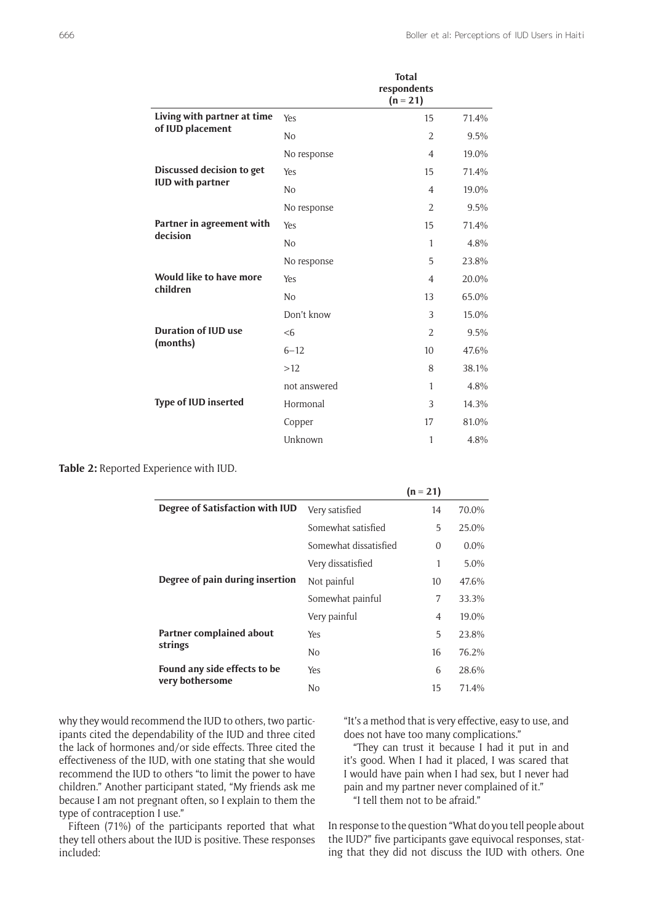|                                            |                | <b>Total</b><br>respondents<br>$(n = 21)$ |       |
|--------------------------------------------|----------------|-------------------------------------------|-------|
| Living with partner at time                | Yes            | 15                                        | 71.4% |
| of IUD placement                           | N <sub>o</sub> | $\overline{2}$                            | 9.5%  |
|                                            | No response    | $\overline{4}$                            | 19.0% |
| Discussed decision to get                  | Yes            | 15                                        | 71.4% |
| <b>IUD with partner</b>                    | N <sub>o</sub> | $\overline{4}$                            | 19.0% |
|                                            | No response    | 2                                         | 9.5%  |
| Partner in agreement with<br>decision      | Yes            | 15                                        | 71.4% |
|                                            | N <sub>o</sub> | $\mathbf{1}$                              | 4.8%  |
|                                            | No response    | 5                                         | 23.8% |
| <b>Would like to have more</b><br>children | Yes            | $\overline{A}$                            | 20.0% |
|                                            | N <sub>o</sub> | 13                                        | 65.0% |
|                                            | Don't know     | 3                                         | 15.0% |
| <b>Duration of IUD use</b><br>(months)     | < 6            | $\overline{2}$                            | 9.5%  |
|                                            | $6 - 12$       | 10 <sup>10</sup>                          | 47.6% |
|                                            | >12            | 8                                         | 38.1% |
|                                            | not answered   | $\mathbf{1}$                              | 4.8%  |
| <b>Type of IUD inserted</b>                | Hormonal       | 3                                         | 14.3% |
|                                            | Copper         | 17                                        | 81.0% |
|                                            | Unknown        | 1                                         | 4.8%  |

**Table 2:** Reported Experience with IUD.

|                                                 |                       | $(n = 21)$     |         |
|-------------------------------------------------|-----------------------|----------------|---------|
| Degree of Satisfaction with IUD                 | Very satisfied        | 14             | 70.0%   |
|                                                 | Somewhat satisfied    | 5              | 25.0%   |
|                                                 | Somewhat dissatisfied | $\Omega$       | $0.0\%$ |
|                                                 | Very dissatisfied     | 1              | 5.0%    |
| Degree of pain during insertion                 | Not painful           | 10             | 47.6%   |
|                                                 | Somewhat painful      | 7              | 33.3%   |
|                                                 | Very painful          | $\overline{4}$ | 19.0%   |
| Partner complained about                        | Yes                   | 5              | 23.8%   |
| strings                                         | No                    | 16             | 76.2%   |
| Found any side effects to be<br>very bothersome | Yes                   | 6              | 28.6%   |
|                                                 | No                    | 15             | 71.4%   |

why they would recommend the IUD to others, two participants cited the dependability of the IUD and three cited the lack of hormones and/or side effects. Three cited the effectiveness of the IUD, with one stating that she would recommend the IUD to others "to limit the power to have children." Another participant stated, "My friends ask me because I am not pregnant often, so I explain to them the type of contraception I use."

Fifteen (71%) of the participants reported that what they tell others about the IUD is positive. These responses included:

"It's a method that is very effective, easy to use, and does not have too many complications."

"They can trust it because I had it put in and it's good. When I had it placed, I was scared that I would have pain when I had sex, but I never had pain and my partner never complained of it." "I tell them not to be afraid."

In response to the question "What do you tell people about the IUD?" five participants gave equivocal responses, stating that they did not discuss the IUD with others. One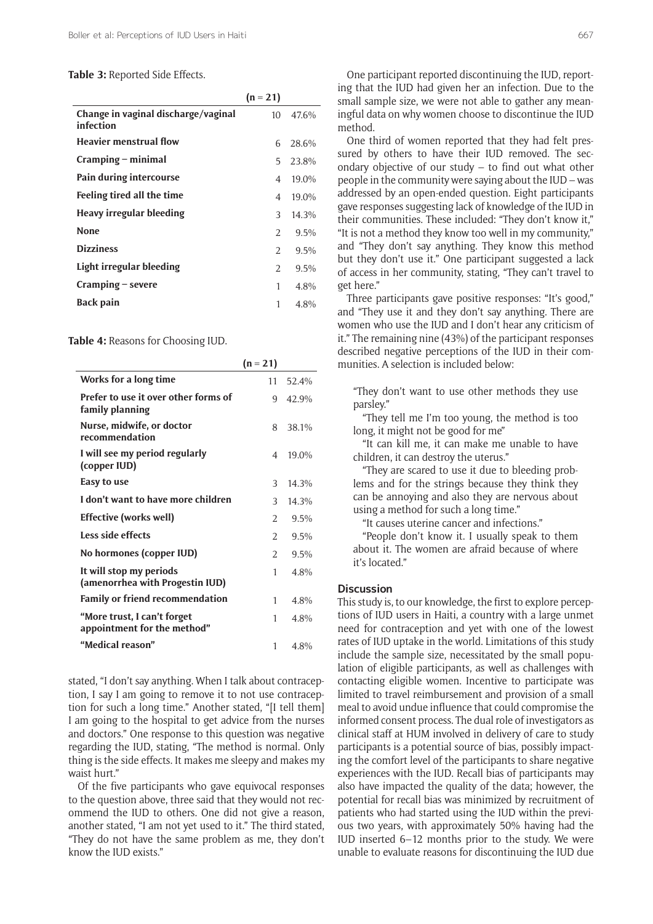#### **Table 3:** Reported Side Effects.

|                                                  | $(n = 21)$    |       |
|--------------------------------------------------|---------------|-------|
| Change in vaginal discharge/vaginal<br>infection | 10            | 47.6% |
| <b>Heavier menstrual flow</b>                    | 6             | 28.6% |
| $Cramping$ – minimal                             | 5             | 23.8% |
| Pain during intercourse                          | 4             | 19.0% |
| Feeling tired all the time                       | 4             | 19.0% |
| Heavy irregular bleeding                         | 3             | 14.3% |
| <b>None</b>                                      | $\mathcal{L}$ | 9.5%  |
| <b>Dizziness</b>                                 | $\mathcal{L}$ | 9.5%  |
| Light irregular bleeding                         | 2             | 9.5%  |
| $Cramping - severe$                              | 1             | 4.8%  |
| <b>Back pain</b>                                 | 1             | 4.8%  |

**Table 4:** Reasons for Choosing IUD.

|                                                            | $(n = 21)$     |       |
|------------------------------------------------------------|----------------|-------|
| Works for a long time                                      | 11             | 52.4% |
| Prefer to use it over other forms of<br>family planning    | 9              | 42.9% |
| Nurse, midwife, or doctor<br>recommendation                | 8              | 38.1% |
| I will see my period regularly<br>(copper IUD)             | 4              | 19.0% |
| Easy to use                                                | 3              | 14.3% |
| I don't want to have more children                         | $\mathcal{L}$  | 14.3% |
| Effective (works well)                                     | 2              | 9.5%  |
| Less side effects                                          | $\mathcal{L}$  | 9.5%  |
| No hormones (copper IUD)                                   | $\mathfrak{D}$ | 9.5%  |
| It will stop my periods<br>(amenorrhea with Progestin IUD) | 1              | 4.8%  |
| <b>Family or friend recommendation</b>                     | 1              | 4.8%  |
| "More trust, I can't forget<br>appointment for the method" | 1              | 4.8%  |
| "Medical reason"                                           | 1              | 4.8%  |

stated, "I don't say anything. When I talk about contraception, I say I am going to remove it to not use contraception for such a long time." Another stated, "[I tell them] I am going to the hospital to get advice from the nurses and doctors." One response to this question was negative regarding the IUD, stating, "The method is normal. Only thing is the side effects. It makes me sleepy and makes my waist hurt."

Of the five participants who gave equivocal responses to the question above, three said that they would not recommend the IUD to others. One did not give a reason, another stated, "I am not yet used to it." The third stated, "They do not have the same problem as me, they don't know the IUD exists."

One participant reported discontinuing the IUD, reporting that the IUD had given her an infection. Due to the small sample size, we were not able to gather any meaningful data on why women choose to discontinue the IUD method.

One third of women reported that they had felt pressured by others to have their IUD removed. The secondary objective of our study – to find out what other people in the community were saying about the IUD – was addressed by an open-ended question. Eight participants gave responses suggesting lack of knowledge of the IUD in their communities. These included: "They don't know it," "It is not a method they know too well in my community," and "They don't say anything. They know this method but they don't use it." One participant suggested a lack of access in her community, stating, "They can't travel to get here."

Three participants gave positive responses: "It's good," and "They use it and they don't say anything. There are women who use the IUD and I don't hear any criticism of it." The remaining nine (43%) of the participant responses described negative perceptions of the IUD in their communities. A selection is included below:

"They don't want to use other methods they use parsley."

"They tell me I'm too young, the method is too long, it might not be good for me"

"It can kill me, it can make me unable to have children, it can destroy the uterus."

"They are scared to use it due to bleeding problems and for the strings because they think they can be annoying and also they are nervous about using a method for such a long time."

"It causes uterine cancer and infections."

"People don't know it. I usually speak to them about it. The women are afraid because of where it's located."

#### **Discussion**

This study is, to our knowledge, the first to explore perceptions of IUD users in Haiti, a country with a large unmet need for contraception and yet with one of the lowest rates of IUD uptake in the world. Limitations of this study include the sample size, necessitated by the small population of eligible participants, as well as challenges with contacting eligible women. Incentive to participate was limited to travel reimbursement and provision of a small meal to avoid undue influence that could compromise the informed consent process. The dual role of investigators as clinical staff at HUM involved in delivery of care to study participants is a potential source of bias, possibly impacting the comfort level of the participants to share negative experiences with the IUD. Recall bias of participants may also have impacted the quality of the data; however, the potential for recall bias was minimized by recruitment of patients who had started using the IUD within the previous two years, with approximately 50% having had the IUD inserted 6–12 months prior to the study. We were unable to evaluate reasons for discontinuing the IUD due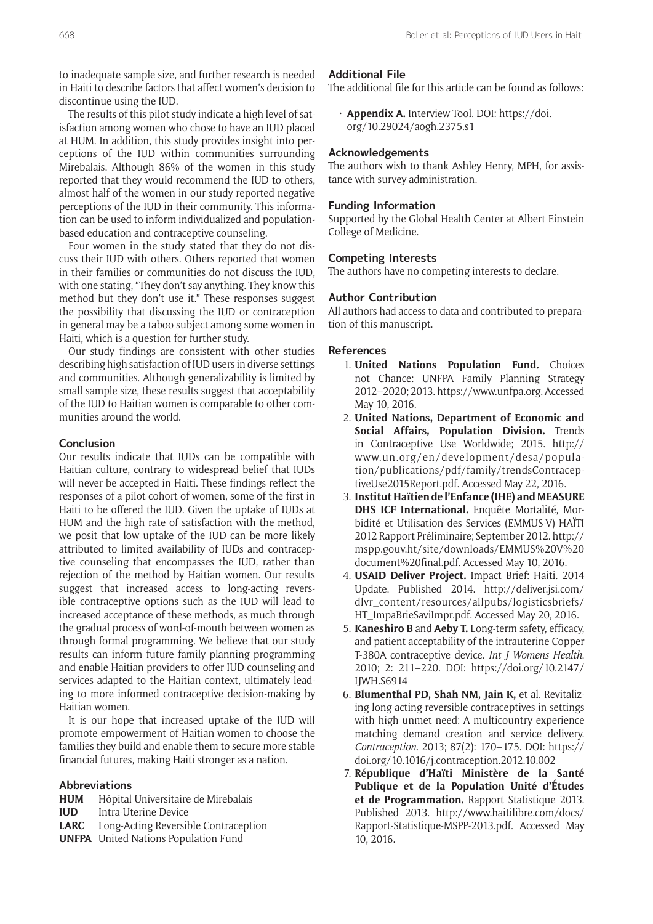to inadequate sample size, and further research is needed in Haiti to describe factors that affect women's decision to discontinue using the IUD.

The results of this pilot study indicate a high level of satisfaction among women who chose to have an IUD placed at HUM. In addition, this study provides insight into perceptions of the IUD within communities surrounding Mirebalais. Although 86% of the women in this study reported that they would recommend the IUD to others, almost half of the women in our study reported negative perceptions of the IUD in their community. This information can be used to inform individualized and populationbased education and contraceptive counseling.

Four women in the study stated that they do not discuss their IUD with others. Others reported that women in their families or communities do not discuss the IUD, with one stating, "They don't say anything. They know this method but they don't use it." These responses suggest the possibility that discussing the IUD or contraception in general may be a taboo subject among some women in Haiti, which is a question for further study.

Our study findings are consistent with other studies describing high satisfaction of IUD users in diverse settings and communities. Although generalizability is limited by small sample size, these results suggest that acceptability of the IUD to Haitian women is comparable to other communities around the world.

## **Conclusion**

Our results indicate that IUDs can be compatible with Haitian culture, contrary to widespread belief that IUDs will never be accepted in Haiti. These findings reflect the responses of a pilot cohort of women, some of the first in Haiti to be offered the IUD. Given the uptake of IUDs at HUM and the high rate of satisfaction with the method, we posit that low uptake of the IUD can be more likely attributed to limited availability of IUDs and contraceptive counseling that encompasses the IUD, rather than rejection of the method by Haitian women. Our results suggest that increased access to long-acting reversible contraceptive options such as the IUD will lead to increased acceptance of these methods, as much through the gradual process of word-of-mouth between women as through formal programming. We believe that our study results can inform future family planning programming and enable Haitian providers to offer IUD counseling and services adapted to the Haitian context, ultimately leading to more informed contraceptive decision-making by Haitian women.

It is our hope that increased uptake of the IUD will promote empowerment of Haitian women to choose the families they build and enable them to secure more stable financial futures, making Haiti stronger as a nation.

## **Abbreviations**

- **HUM** Hôpital Universitaire de Mirebalais
- **IUD** Intra-Uterine Device
- **LARC** Long-Acting Reversible Contraception
- **UNFPA** United Nations Population Fund

#### **Additional File**

The additional file for this article can be found as follows:

• **Appendix A.** Interview Tool. DOI: [https://doi.](https://doi.org/10.29024/aogh.2375.s1) [org/10.29024/aogh.2375.s1](https://doi.org/10.29024/aogh.2375.s1)

# **Acknowledgements**

The authors wish to thank Ashley Henry, MPH, for assistance with survey administration.

#### **Funding Information**

Supported by the Global Health Center at Albert Einstein College of Medicine.

## **Competing Interests**

The authors have no competing interests to declare.

#### **Author Contribution**

All authors had access to data and contributed to preparation of this manuscript.

## **References**

- 1. **United Nations Population Fund.** Choices not Chance: UNFPA Family Planning Strategy 2012–2020; 2013. [https://www.unfpa.org.](https://www.unfpa.org) Accessed May 10, 2016.
- 2. **United Nations, Department of Economic and Social Affairs, Population Division.** Trends in Contraceptive Use Worldwide; 2015. [http://](http://www.un.org/en/development/desa/population/publications/pdf/family/trendsContraceptiveUse2015Report.pdf) [www.un.org/en/development/desa/popula](http://www.un.org/en/development/desa/population/publications/pdf/family/trendsContraceptiveUse2015Report.pdf)[tion/publications/pdf/family/trendsContracep](http://www.un.org/en/development/desa/population/publications/pdf/family/trendsContraceptiveUse2015Report.pdf)[tiveUse2015Report.pdf.](http://www.un.org/en/development/desa/population/publications/pdf/family/trendsContraceptiveUse2015Report.pdf) Accessed May 22, 2016.
- 3. **Institut Haïtien de l'Enfance (IHE) and MEASURE DHS ICF International.** Enquête Mortalité, Morbidité et Utilisation des Services (EMMUS-V) HAÏTI 2012 Rapport Préliminaire; September 2012. [http://](http://mspp.gouv.ht/site/downloads/EMMUS%20V%20document%20final.pdf) [mspp.gouv.ht/site/downloads/EMMUS%20V%20](http://mspp.gouv.ht/site/downloads/EMMUS%20V%20document%20final.pdf) [document%20final.pdf](http://mspp.gouv.ht/site/downloads/EMMUS%20V%20document%20final.pdf). Accessed May 10, 2016.
- 4. **USAID Deliver Project.** Impact Brief: Haiti. 2014 Update. Published 2014. [http://deliver.jsi.com/](http://deliver.jsi.com/dlvr_content/resources/allpubs/logisticsbriefs/HT_ImpaBrieSaviImpr.pdf) [dlvr\\_content/resources/allpubs/logisticsbriefs/](http://deliver.jsi.com/dlvr_content/resources/allpubs/logisticsbriefs/HT_ImpaBrieSaviImpr.pdf) [HT\\_ImpaBrieSaviImpr.pdf](http://deliver.jsi.com/dlvr_content/resources/allpubs/logisticsbriefs/HT_ImpaBrieSaviImpr.pdf). Accessed May 20, 2016.
- 5. **Kaneshiro B** and **Aeby T.** Long-term safety, efficacy, and patient acceptability of the intrauterine Copper T-380A contraceptive device. *Int J Womens Health*. 2010; 2: 211–220. DOI: [https://doi.org/10.2147/](https://doi.org/10.2147/IJWH.S6914) [IJWH.S6914](https://doi.org/10.2147/IJWH.S6914)
- 6. **Blumenthal PD, Shah NM, Jain K,** et al. Revitalizing long-acting reversible contraceptives in settings with high unmet need: A multicountry experience matching demand creation and service delivery. *Contraception*. 2013; 87(2): 170–175. DOI: [https://](https://doi.org/10.1016/j.contraception.2012.10.002) [doi.org/10.1016/j.contraception.2012.10.002](https://doi.org/10.1016/j.contraception.2012.10.002)
- 7. **République d'Haïti Ministère de la Santé Publique et de la Population Unité d'Études et de Programmation.** Rapport Statistique 2013. Published 2013. [http://www.haitilibre.com/docs/](http://www.haitilibre.com/docs/Rapport-Statistique-MSPP-2013.pdf) [Rapport-Statistique-MSPP-2013.pdf.](http://www.haitilibre.com/docs/Rapport-Statistique-MSPP-2013.pdf) Accessed May 10, 2016.